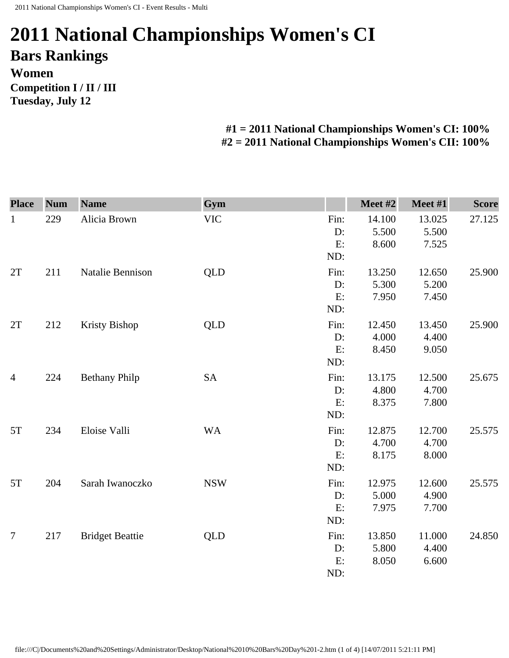## **2011 National Championships Women's CI Bars Rankings Women Competition I / II / III Tuesday, July 12**

**#1 = 2011 National Championships Women's CI: 100% #2 = 2011 National Championships Women's CII: 100%** 

| <b>Place</b>   | <b>Num</b> | <b>Name</b>            | Gym        |                         | Meet #2                  | Meet #1                  | <b>Score</b> |
|----------------|------------|------------------------|------------|-------------------------|--------------------------|--------------------------|--------------|
| $\mathbf{1}$   | 229        | Alicia Brown           | <b>VIC</b> | Fin:<br>D:<br>E:<br>ND: | 14.100<br>5.500<br>8.600 | 13.025<br>5.500<br>7.525 | 27.125       |
| 2T             | 211        | Natalie Bennison       | QLD        | Fin:<br>D:<br>E:<br>ND: | 13.250<br>5.300<br>7.950 | 12.650<br>5.200<br>7.450 | 25.900       |
| 2T             | 212        | <b>Kristy Bishop</b>   | QLD        | Fin:<br>D:<br>E:<br>ND: | 12.450<br>4.000<br>8.450 | 13.450<br>4.400<br>9.050 | 25.900       |
| $\overline{4}$ | 224        | <b>Bethany Philp</b>   | <b>SA</b>  | Fin:<br>D:<br>E:<br>ND: | 13.175<br>4.800<br>8.375 | 12.500<br>4.700<br>7.800 | 25.675       |
| 5T             | 234        | Eloise Valli           | <b>WA</b>  | Fin:<br>D:<br>E:<br>ND: | 12.875<br>4.700<br>8.175 | 12.700<br>4.700<br>8.000 | 25.575       |
| 5T             | 204        | Sarah Iwanoczko        | <b>NSW</b> | Fin:<br>D:<br>E:<br>ND: | 12.975<br>5.000<br>7.975 | 12.600<br>4.900<br>7.700 | 25.575       |
| $\overline{7}$ | 217        | <b>Bridget Beattie</b> | QLD        | Fin:<br>D:<br>E:<br>ND: | 13.850<br>5.800<br>8.050 | 11.000<br>4.400<br>6.600 | 24.850       |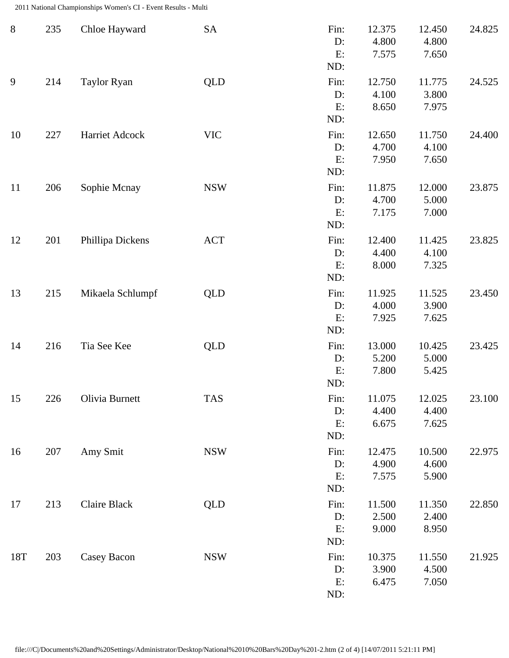2011 National Championships Women's CI - Event Results - Multi

| $8\,$ | 235 | Chloe Hayward      | SA         | Fin:<br>D:<br>E:<br>ND:    | 12.375<br>4.800<br>7.575 | 12.450<br>4.800<br>7.650 | 24.825 |
|-------|-----|--------------------|------------|----------------------------|--------------------------|--------------------------|--------|
| 9     | 214 | <b>Taylor Ryan</b> | <b>QLD</b> | Fin:<br>D:<br>E:<br>ND:    | 12.750<br>4.100<br>8.650 | 11.775<br>3.800<br>7.975 | 24.525 |
| 10    | 227 | Harriet Adcock     | <b>VIC</b> | Fin:<br>D:<br>E:<br>ND:    | 12.650<br>4.700<br>7.950 | 11.750<br>4.100<br>7.650 | 24.400 |
| 11    | 206 | Sophie Mcnay       | <b>NSW</b> | Fin:<br>D:<br>E:<br>ND:    | 11.875<br>4.700<br>7.175 | 12.000<br>5.000<br>7.000 | 23.875 |
| 12    | 201 | Phillipa Dickens   | <b>ACT</b> | Fin:<br>D:<br>E:<br>ND:    | 12.400<br>4.400<br>8.000 | 11.425<br>4.100<br>7.325 | 23.825 |
| 13    | 215 | Mikaela Schlumpf   | <b>QLD</b> | Fin:<br>D:<br>E:<br>ND:    | 11.925<br>4.000<br>7.925 | 11.525<br>3.900<br>7.625 | 23.450 |
| 14    | 216 | Tia See Kee        | <b>QLD</b> | Fin:<br>$D$ :<br>E:<br>ND: | 13.000<br>5.200<br>7.800 | 10.425<br>5.000<br>5.425 | 23.425 |
| 15    | 226 | Olivia Burnett     | <b>TAS</b> | Fin:<br>D:<br>E:<br>ND:    | 11.075<br>4.400<br>6.675 | 12.025<br>4.400<br>7.625 | 23.100 |
| 16    | 207 | Amy Smit           | <b>NSW</b> | Fin:<br>$D$ :<br>E:<br>ND: | 12.475<br>4.900<br>7.575 | 10.500<br>4.600<br>5.900 | 22.975 |
| 17    | 213 | Claire Black       | <b>QLD</b> | Fin:<br>D:<br>E:<br>ND:    | 11.500<br>2.500<br>9.000 | 11.350<br>2.400<br>8.950 | 22.850 |
| 18T   | 203 | Casey Bacon        | <b>NSW</b> | Fin:<br>D:<br>E:<br>ND:    | 10.375<br>3.900<br>6.475 | 11.550<br>4.500<br>7.050 | 21.925 |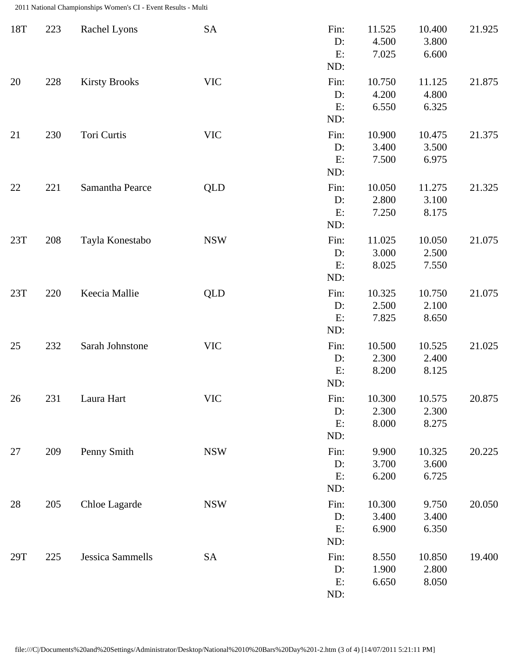2011 National Championships Women's CI - Event Results - Multi

| 18T    | 223 | Rachel Lyons         | SA         | Fin:<br>D:<br>E:<br>ND: | 11.525<br>4.500<br>7.025 | 10.400<br>3.800<br>6.600 | 21.925 |
|--------|-----|----------------------|------------|-------------------------|--------------------------|--------------------------|--------|
| 20     | 228 | <b>Kirsty Brooks</b> | <b>VIC</b> | Fin:<br>D:<br>E:<br>ND: | 10.750<br>4.200<br>6.550 | 11.125<br>4.800<br>6.325 | 21.875 |
| 21     | 230 | Tori Curtis          | <b>VIC</b> | Fin:<br>D:<br>E:<br>ND: | 10.900<br>3.400<br>7.500 | 10.475<br>3.500<br>6.975 | 21.375 |
| 22     | 221 | Samantha Pearce      | <b>QLD</b> | Fin:<br>D:<br>E:<br>ND: | 10.050<br>2.800<br>7.250 | 11.275<br>3.100<br>8.175 | 21.325 |
| 23T    | 208 | Tayla Konestabo      | <b>NSW</b> | Fin:<br>D:<br>E:<br>ND: | 11.025<br>3.000<br>8.025 | 10.050<br>2.500<br>7.550 | 21.075 |
| 23T    | 220 | Keecia Mallie        | <b>QLD</b> | Fin:<br>D:<br>E:<br>ND: | 10.325<br>2.500<br>7.825 | 10.750<br>2.100<br>8.650 | 21.075 |
| 25     | 232 | Sarah Johnstone      | <b>VIC</b> | Fin:<br>D:<br>E:<br>ND: | 10.500<br>2.300<br>8.200 | 10.525<br>2.400<br>8.125 | 21.025 |
| $26\,$ | 231 | Laura Hart           | <b>VIC</b> | Fin:<br>D:<br>E:<br>ND: | 10.300<br>2.300<br>8.000 | 10.575<br>2.300<br>8.275 | 20.875 |
| 27     | 209 | Penny Smith          | <b>NSW</b> | Fin:<br>D:<br>E:<br>ND: | 9.900<br>3.700<br>6.200  | 10.325<br>3.600<br>6.725 | 20.225 |
| 28     | 205 | Chloe Lagarde        | <b>NSW</b> | Fin:<br>D:<br>E:<br>ND: | 10.300<br>3.400<br>6.900 | 9.750<br>3.400<br>6.350  | 20.050 |
| 29T    | 225 | Jessica Sammells     | SA         | Fin:<br>D:<br>E:<br>ND: | 8.550<br>1.900<br>6.650  | 10.850<br>2.800<br>8.050 | 19.400 |